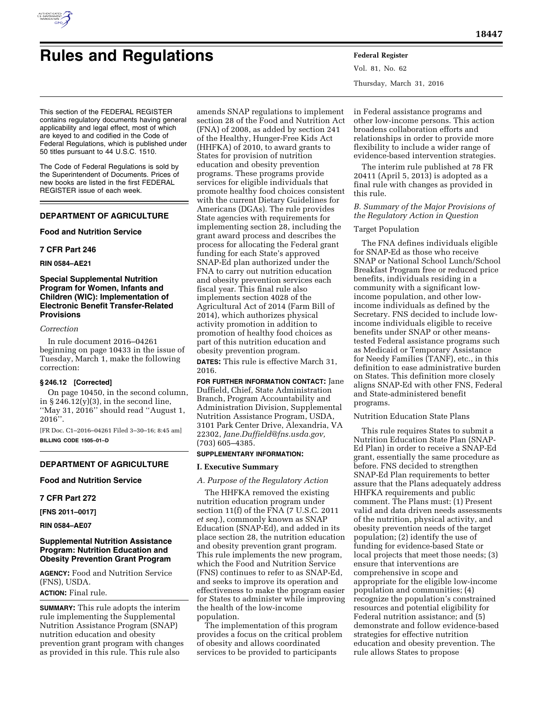

# **Rules and Regulations Federal Register**

Vol. 81, No. 62 Thursday, March 31, 2016

This section of the FEDERAL REGISTER contains regulatory documents having general applicability and legal effect, most of which are keyed to and codified in the Code of Federal Regulations, which is published under 50 titles pursuant to 44 U.S.C. 1510.

The Code of Federal Regulations is sold by the Superintendent of Documents. Prices of new books are listed in the first FEDERAL REGISTER issue of each week.

# **DEPARTMENT OF AGRICULTURE**

# **Food and Nutrition Service**

# **7 CFR Part 246**

# **RIN 0584–AE21**

# **Special Supplemental Nutrition Program for Women, Infants and Children (WIC): Implementation of Electronic Benefit Transfer-Related Provisions**

# *Correction*

In rule document 2016–04261 beginning on page 10433 in the issue of Tuesday, March 1, make the following correction:

# **§ 246.12 [Corrected]**

On page 10450, in the second column, in  $\S 246.12(y)(3)$ , in the second line, ''May 31, 2016'' should read ''August 1, 2016''.

[FR Doc. C1–2016–04261 Filed 3–30–16; 8:45 am] **BILLING CODE 1505–01–D** 

# **DEPARTMENT OF AGRICULTURE**

# **Food and Nutrition Service**

# **7 CFR Part 272**

**[FNS 2011–0017]** 

# **RIN 0584–AE07**

# **Supplemental Nutrition Assistance Program: Nutrition Education and Obesity Prevention Grant Program**

**AGENCY:** Food and Nutrition Service (FNS), USDA.

# **ACTION:** Final rule.

**SUMMARY:** This rule adopts the interim rule implementing the Supplemental Nutrition Assistance Program (SNAP) nutrition education and obesity prevention grant program with changes as provided in this rule. This rule also

amends SNAP regulations to implement section 28 of the Food and Nutrition Act (FNA) of 2008, as added by section 241 of the Healthy, Hunger-Free Kids Act (HHFKA) of 2010, to award grants to States for provision of nutrition education and obesity prevention programs. These programs provide services for eligible individuals that promote healthy food choices consistent with the current Dietary Guidelines for Americans (DGAs). The rule provides State agencies with requirements for implementing section 28, including the grant award process and describes the process for allocating the Federal grant funding for each State's approved SNAP-Ed plan authorized under the FNA to carry out nutrition education and obesity prevention services each fiscal year. This final rule also implements section 4028 of the Agricultural Act of 2014 (Farm Bill of 2014), which authorizes physical activity promotion in addition to promotion of healthy food choices as part of this nutrition education and obesity prevention program.

**DATES:** This rule is effective March 31, 2016.

**FOR FURTHER INFORMATION CONTACT:** Jane Duffield, Chief, State Administration Branch, Program Accountability and Administration Division, Supplemental Nutrition Assistance Program, USDA, 3101 Park Center Drive, Alexandria, VA 22302, *[Jane.Duffield@fns.usda.gov,](mailto:Jane.Duffield@fns.usda.gov)*  (703) 605–4385.

# **SUPPLEMENTARY INFORMATION:**

# **I. Executive Summary**

# *A. Purpose of the Regulatory Action*

The HHFKA removed the existing nutrition education program under section 11(f) of the FNA (7 U.S.C. 2011 *et seq.*), commonly known as SNAP Education (SNAP-Ed), and added in its place section 28, the nutrition education and obesity prevention grant program. This rule implements the new program, which the Food and Nutrition Service (FNS) continues to refer to as SNAP-Ed, and seeks to improve its operation and effectiveness to make the program easier for States to administer while improving the health of the low-income population.

The implementation of this program provides a focus on the critical problem of obesity and allows coordinated services to be provided to participants

in Federal assistance programs and other low-income persons. This action broadens collaboration efforts and relationships in order to provide more flexibility to include a wider range of evidence-based intervention strategies.

The interim rule published at 78 FR 20411 (April 5, 2013) is adopted as a final rule with changes as provided in this rule.

# *B. Summary of the Major Provisions of the Regulatory Action in Question*

# Target Population

The FNA defines individuals eligible for SNAP-Ed as those who receive SNAP or National School Lunch/School Breakfast Program free or reduced price benefits, individuals residing in a community with a significant lowincome population, and other lowincome individuals as defined by the Secretary. FNS decided to include lowincome individuals eligible to receive benefits under SNAP or other meanstested Federal assistance programs such as Medicaid or Temporary Assistance for Needy Families (TANF), etc., in this definition to ease administrative burden on States. This definition more closely aligns SNAP-Ed with other FNS, Federal and State-administered benefit programs.

# Nutrition Education State Plans

This rule requires States to submit a Nutrition Education State Plan (SNAP-Ed Plan) in order to receive a SNAP-Ed grant, essentially the same procedure as before. FNS decided to strengthen SNAP-Ed Plan requirements to better assure that the Plans adequately address HHFKA requirements and public comment. The Plans must: (1) Present valid and data driven needs assessments of the nutrition, physical activity, and obesity prevention needs of the target population; (2) identify the use of funding for evidence-based State or local projects that meet those needs; (3) ensure that interventions are comprehensive in scope and appropriate for the eligible low-income population and communities; (4) recognize the population's constrained resources and potential eligibility for Federal nutrition assistance; and (5) demonstrate and follow evidence-based strategies for effective nutrition education and obesity prevention. The rule allows States to propose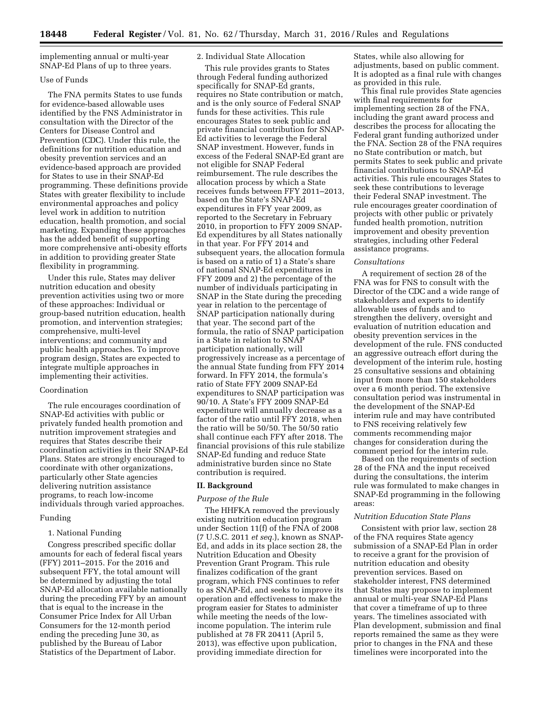implementing annual or multi-year SNAP-Ed Plans of up to three years.

# Use of Funds

The FNA permits States to use funds for evidence-based allowable uses identified by the FNS Administrator in consultation with the Director of the Centers for Disease Control and Prevention (CDC). Under this rule, the definitions for nutrition education and obesity prevention services and an evidence-based approach are provided for States to use in their SNAP-Ed programming. These definitions provide States with greater flexibility to include environmental approaches and policy level work in addition to nutrition education, health promotion, and social marketing. Expanding these approaches has the added benefit of supporting more comprehensive anti-obesity efforts in addition to providing greater State flexibility in programming.

Under this rule, States may deliver nutrition education and obesity prevention activities using two or more of these approaches: Individual or group-based nutrition education, health promotion, and intervention strategies; comprehensive, multi-level interventions; and community and public health approaches. To improve program design, States are expected to integrate multiple approaches in implementing their activities.

#### Coordination

The rule encourages coordination of SNAP-Ed activities with public or privately funded health promotion and nutrition improvement strategies and requires that States describe their coordination activities in their SNAP-Ed Plans. States are strongly encouraged to coordinate with other organizations, particularly other State agencies delivering nutrition assistance programs, to reach low-income individuals through varied approaches.

#### Funding

# 1. National Funding

Congress prescribed specific dollar amounts for each of federal fiscal years (FFY) 2011–2015. For the 2016 and subsequent FFY, the total amount will be determined by adjusting the total SNAP-Ed allocation available nationally during the preceding FFY by an amount that is equal to the increase in the Consumer Price Index for All Urban Consumers for the 12-month period ending the preceding June 30, as published by the Bureau of Labor Statistics of the Department of Labor.

# 2. Individual State Allocation

This rule provides grants to States through Federal funding authorized specifically for SNAP-Ed grants, requires no State contribution or match, and is the only source of Federal SNAP funds for these activities. This rule encourages States to seek public and private financial contribution for SNAP-Ed activities to leverage the Federal SNAP investment. However, funds in excess of the Federal SNAP-Ed grant are not eligible for SNAP Federal reimbursement. The rule describes the allocation process by which a State receives funds between FFY 2011–2013, based on the State's SNAP-Ed expenditures in FFY year 2009, as reported to the Secretary in February 2010, in proportion to FFY 2009 SNAP-Ed expenditures by all States nationally in that year. For FFY 2014 and subsequent years, the allocation formula is based on a ratio of 1) a State's share of national SNAP-Ed expenditures in FFY 2009 and 2) the percentage of the number of individuals participating in SNAP in the State during the preceding year in relation to the percentage of SNAP participation nationally during that year. The second part of the formula, the ratio of SNAP participation in a State in relation to SNAP participation nationally, will progressively increase as a percentage of the annual State funding from FFY 2014 forward. In FFY 2014, the formula's ratio of State FFY 2009 SNAP-Ed expenditures to SNAP participation was 90/10. A State's FFY 2009 SNAP-Ed expenditure will annually decrease as a factor of the ratio until FFY 2018, when the ratio will be 50/50. The 50/50 ratio shall continue each FFY after 2018. The financial provisions of this rule stabilize SNAP-Ed funding and reduce State administrative burden since no State contribution is required.

# **II. Background**

# *Purpose of the Rule*

The HHFKA removed the previously existing nutrition education program under Section 11(f) of the FNA of 2008 (7 U.S.C. 2011 *et seq.*), known as SNAP-Ed, and adds in its place section 28, the Nutrition Education and Obesity Prevention Grant Program. This rule finalizes codification of the grant program, which FNS continues to refer to as SNAP-Ed, and seeks to improve its operation and effectiveness to make the program easier for States to administer while meeting the needs of the lowincome population. The interim rule published at 78 FR 20411 (April 5, 2013), was effective upon publication, providing immediate direction for

States, while also allowing for adjustments, based on public comment. It is adopted as a final rule with changes as provided in this rule.

This final rule provides State agencies with final requirements for implementing section 28 of the FNA, including the grant award process and describes the process for allocating the Federal grant funding authorized under the FNA. Section 28 of the FNA requires no State contribution or match, but permits States to seek public and private financial contributions to SNAP-Ed activities. This rule encourages States to seek these contributions to leverage their Federal SNAP investment. The rule encourages greater coordination of projects with other public or privately funded health promotion, nutrition improvement and obesity prevention strategies, including other Federal assistance programs.

#### *Consultations*

A requirement of section 28 of the FNA was for FNS to consult with the Director of the CDC and a wide range of stakeholders and experts to identify allowable uses of funds and to strengthen the delivery, oversight and evaluation of nutrition education and obesity prevention services in the development of the rule. FNS conducted an aggressive outreach effort during the development of the interim rule, hosting 25 consultative sessions and obtaining input from more than 150 stakeholders over a 6 month period. The extensive consultation period was instrumental in the development of the SNAP-Ed interim rule and may have contributed to FNS receiving relatively few comments recommending major changes for consideration during the comment period for the interim rule.

Based on the requirements of section 28 of the FNA and the input received during the consultations, the interim rule was formulated to make changes in SNAP-Ed programming in the following areas:

#### *Nutrition Education State Plans*

Consistent with prior law, section 28 of the FNA requires State agency submission of a SNAP-Ed Plan in order to receive a grant for the provision of nutrition education and obesity prevention services. Based on stakeholder interest, FNS determined that States may propose to implement annual or multi-year SNAP-Ed Plans that cover a timeframe of up to three years. The timelines associated with Plan development, submission and final reports remained the same as they were prior to changes in the FNA and these timelines were incorporated into the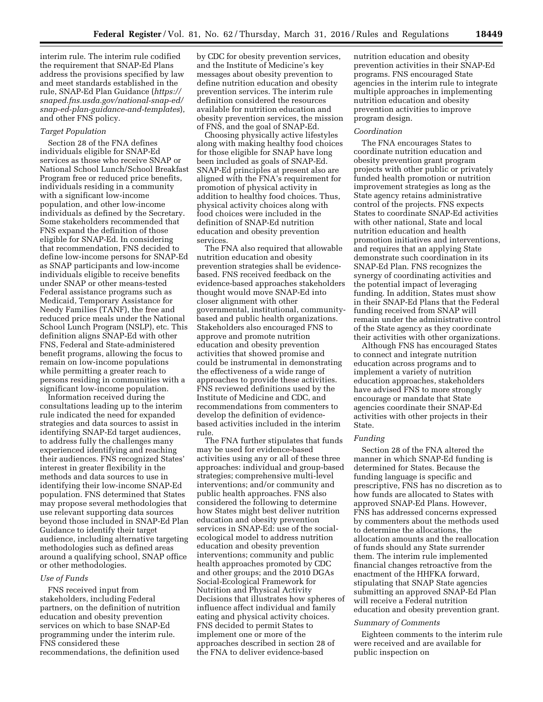interim rule. The interim rule codified the requirement that SNAP-Ed Plans address the provisions specified by law and meet standards established in the rule, SNAP-Ed Plan Guidance (*[https://](https://snaped.fns.usda.gov/national-snap-ed/snap-ed-plan-guidance-and-templates) [snaped.fns.usda.gov/national-snap-ed/](https://snaped.fns.usda.gov/national-snap-ed/snap-ed-plan-guidance-and-templates) [snap-ed-plan-guidance-and-templates](https://snaped.fns.usda.gov/national-snap-ed/snap-ed-plan-guidance-and-templates)*), and other FNS policy.

# *Target Population*

Section 28 of the FNA defines individuals eligible for SNAP-Ed services as those who receive SNAP or National School Lunch/School Breakfast Program free or reduced price benefits, individuals residing in a community with a significant low-income population, and other low-income individuals as defined by the Secretary. Some stakeholders recommended that FNS expand the definition of those eligible for SNAP-Ed. In considering that recommendation, FNS decided to define low-income persons for SNAP-Ed as SNAP participants and low-income individuals eligible to receive benefits under SNAP or other means-tested Federal assistance programs such as Medicaid, Temporary Assistance for Needy Families (TANF), the free and reduced price meals under the National School Lunch Program (NSLP), etc. This definition aligns SNAP-Ed with other FNS, Federal and State-administered benefit programs, allowing the focus to remain on low-income populations while permitting a greater reach to persons residing in communities with a significant low-income population.

Information received during the consultations leading up to the interim rule indicated the need for expanded strategies and data sources to assist in identifying SNAP-Ed target audiences, to address fully the challenges many experienced identifying and reaching their audiences. FNS recognized States' interest in greater flexibility in the methods and data sources to use in identifying their low-income SNAP-Ed population. FNS determined that States may propose several methodologies that use relevant supporting data sources beyond those included in SNAP-Ed Plan Guidance to identify their target audience, including alternative targeting methodologies such as defined areas around a qualifying school, SNAP office or other methodologies.

# *Use of Funds*

FNS received input from stakeholders, including Federal partners, on the definition of nutrition education and obesity prevention services on which to base SNAP-Ed programming under the interim rule. FNS considered these recommendations, the definition used

by CDC for obesity prevention services, and the Institute of Medicine's key messages about obesity prevention to define nutrition education and obesity prevention services. The interim rule definition considered the resources available for nutrition education and obesity prevention services, the mission of FNS, and the goal of SNAP-Ed.

Choosing physically active lifestyles along with making healthy food choices for those eligible for SNAP have long been included as goals of SNAP-Ed. SNAP-Ed principles at present also are aligned with the FNA's requirement for promotion of physical activity in addition to healthy food choices. Thus, physical activity choices along with food choices were included in the definition of SNAP-Ed nutrition education and obesity prevention services.

The FNA also required that allowable nutrition education and obesity prevention strategies shall be evidencebased. FNS received feedback on the evidence-based approaches stakeholders thought would move SNAP-Ed into closer alignment with other governmental, institutional, communitybased and public health organizations. Stakeholders also encouraged FNS to approve and promote nutrition education and obesity prevention activities that showed promise and could be instrumental in demonstrating the effectiveness of a wide range of approaches to provide these activities. FNS reviewed definitions used by the Institute of Medicine and CDC, and recommendations from commenters to develop the definition of evidencebased activities included in the interim rule.

The FNA further stipulates that funds may be used for evidence-based activities using any or all of these three approaches: individual and group-based strategies; comprehensive multi-level interventions; and/or community and public health approaches. FNS also considered the following to determine how States might best deliver nutrition education and obesity prevention services in SNAP-Ed: use of the socialecological model to address nutrition education and obesity prevention interventions; community and public health approaches promoted by CDC and other groups; and the 2010 DGAs Social-Ecological Framework for Nutrition and Physical Activity Decisions that illustrates how spheres of influence affect individual and family eating and physical activity choices. FNS decided to permit States to implement one or more of the approaches described in section 28 of the FNA to deliver evidence-based

nutrition education and obesity prevention activities in their SNAP-Ed programs. FNS encouraged State agencies in the interim rule to integrate multiple approaches in implementing nutrition education and obesity prevention activities to improve program design.

#### *Coordination*

The FNA encourages States to coordinate nutrition education and obesity prevention grant program projects with other public or privately funded health promotion or nutrition improvement strategies as long as the State agency retains administrative control of the projects. FNS expects States to coordinate SNAP-Ed activities with other national, State and local nutrition education and health promotion initiatives and interventions, and requires that an applying State demonstrate such coordination in its SNAP-Ed Plan. FNS recognizes the synergy of coordinating activities and the potential impact of leveraging funding. In addition, States must show in their SNAP-Ed Plans that the Federal funding received from SNAP will remain under the administrative control of the State agency as they coordinate their activities with other organizations.

Although FNS has encouraged States to connect and integrate nutrition education across programs and to implement a variety of nutrition education approaches, stakeholders have advised FNS to more strongly encourage or mandate that State agencies coordinate their SNAP-Ed activities with other projects in their State.

# *Funding*

Section 28 of the FNA altered the manner in which SNAP-Ed funding is determined for States. Because the funding language is specific and prescriptive, FNS has no discretion as to how funds are allocated to States with approved SNAP-Ed Plans. However, FNS has addressed concerns expressed by commenters about the methods used to determine the allocations, the allocation amounts and the reallocation of funds should any State surrender them. The interim rule implemented financial changes retroactive from the enactment of the HHFKA forward, stipulating that SNAP State agencies submitting an approved SNAP-Ed Plan will receive a Federal nutrition education and obesity prevention grant.

#### *Summary of Comments*

Eighteen comments to the interim rule were received and are available for public inspection on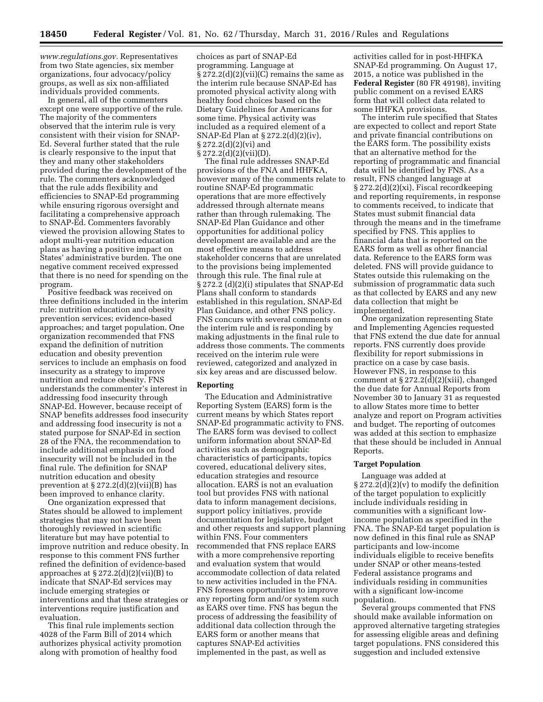*[www.regulations.gov.](http://www.regulations.gov)* Representatives from two State agencies, six member organizations, four advocacy/policy groups, as well as six non-affiliated individuals provided comments.

In general, all of the commenters except one were supportive of the rule. The majority of the commenters observed that the interim rule is very consistent with their vision for SNAP-Ed. Several further stated that the rule is clearly responsive to the input that they and many other stakeholders provided during the development of the rule. The commenters acknowledged that the rule adds flexibility and efficiencies to SNAP-Ed programming while ensuring rigorous oversight and facilitating a comprehensive approach to SNAP-Ed. Commenters favorably viewed the provision allowing States to adopt multi-year nutrition education plans as having a positive impact on States' administrative burden. The one negative comment received expressed that there is no need for spending on the program.

Positive feedback was received on three definitions included in the interim rule: nutrition education and obesity prevention services; evidence-based approaches; and target population. One organization recommended that FNS expand the definition of nutrition education and obesity prevention services to include an emphasis on food insecurity as a strategy to improve nutrition and reduce obesity. FNS understands the commenter's interest in addressing food insecurity through SNAP-Ed. However, because receipt of SNAP benefits addresses food insecurity and addressing food insecurity is not a stated purpose for SNAP-Ed in section 28 of the FNA, the recommendation to include additional emphasis on food insecurity will not be included in the final rule. The definition for SNAP nutrition education and obesity prevention at  $\S 272.2(d)(2)(vii)(B)$  has been improved to enhance clarity.

One organization expressed that States should be allowed to implement strategies that may not have been thoroughly reviewed in scientific literature but may have potential to improve nutrition and reduce obesity. In response to this comment FNS further refined the definition of evidence-based approaches at § 272.2(d)(2)(vii)(B) to indicate that SNAP-Ed services may include emerging strategies or interventions and that these strategies or interventions require justification and evaluation.

This final rule implements section 4028 of the Farm Bill of 2014 which authorizes physical activity promotion along with promotion of healthy food

choices as part of SNAP-Ed programming. Language at  $\S 272.2(d)(2)(vii)(C)$  remains the same as the interim rule because SNAP-Ed has promoted physical activity along with healthy food choices based on the Dietary Guidelines for Americans for some time. Physical activity was included as a required element of a SNAP-Ed Plan at § 272.2(d)(2)(iv), § 272.2(d)(2)(vi) and  $\S 272.2(d)(2)(vii)(D).$ 

The final rule addresses SNAP-Ed provisions of the FNA and HHFKA, however many of the comments relate to routine SNAP-Ed programmatic operations that are more effectively addressed through alternate means rather than through rulemaking. The SNAP-Ed Plan Guidance and other opportunities for additional policy development are available and are the most effective means to address stakeholder concerns that are unrelated to the provisions being implemented through this rule. The final rule at § 272.2 (d)(2)(i) stipulates that SNAP-Ed Plans shall conform to standards established in this regulation, SNAP-Ed Plan Guidance, and other FNS policy. FNS concurs with several comments on the interim rule and is responding by making adjustments in the final rule to address those comments. The comments received on the interim rule were reviewed, categorized and analyzed in six key areas and are discussed below.

## **Reporting**

The Education and Administrative Reporting System (EARS) form is the current means by which States report SNAP-Ed programmatic activity to FNS. The EARS form was devised to collect uniform information about SNAP-Ed activities such as demographic characteristics of participants, topics covered, educational delivery sites, education strategies and resource allocation. EARS is not an evaluation tool but provides FNS with national data to inform management decisions, support policy initiatives, provide documentation for legislative, budget and other requests and support planning within FNS. Four commenters recommended that FNS replace EARS with a more comprehensive reporting and evaluation system that would accommodate collection of data related to new activities included in the FNA. FNS foresees opportunities to improve any reporting form and/or system such as EARS over time. FNS has begun the process of addressing the feasibility of additional data collection through the EARS form or another means that captures SNAP-Ed activities implemented in the past, as well as

activities called for in post-HHFKA SNAP-Ed programming. On August 17, 2015, a notice was published in the **Federal Register** (80 FR 49198), inviting public comment on a revised EARS form that will collect data related to some HHFKA provisions.

The interim rule specified that States are expected to collect and report State and private financial contributions on the EARS form. The possibility exists that an alternative method for the reporting of programmatic and financial data will be identified by FNS. As a result, FNS changed language at § 272.2(d)(2)(xi), Fiscal recordkeeping and reporting requirements, in response to comments received, to indicate that States must submit financial data through the means and in the timeframe specified by FNS. This applies to financial data that is reported on the EARS form as well as other financial data. Reference to the EARS form was deleted. FNS will provide guidance to States outside this rulemaking on the submission of programmatic data such as that collected by EARS and any new data collection that might be implemented.

One organization representing State and Implementing Agencies requested that FNS extend the due date for annual reports. FNS currently does provide flexibility for report submissions in practice on a case by case basis. However FNS, in response to this comment at § 272.2(d)(2)(xiii), changed the due date for Annual Reports from November 30 to January 31 as requested to allow States more time to better analyze and report on Program activities and budget. The reporting of outcomes was added at this section to emphasize that these should be included in Annual Reports.

#### **Target Population**

Language was added at  $\S 272.2(d)(2)(v)$  to modify the definition of the target population to explicitly include individuals residing in communities with a significant lowincome population as specified in the FNA. The SNAP-Ed target population is now defined in this final rule as SNAP participants and low-income individuals eligible to receive benefits under SNAP or other means-tested Federal assistance programs and individuals residing in communities with a significant low-income population.

Several groups commented that FNS should make available information on approved alternative targeting strategies for assessing eligible areas and defining target populations. FNS considered this suggestion and included extensive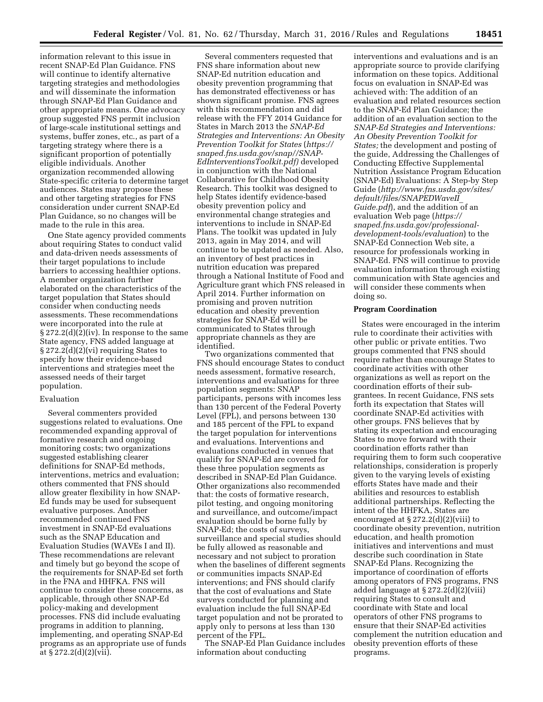information relevant to this issue in recent SNAP-Ed Plan Guidance. FNS will continue to identify alternative targeting strategies and methodologies and will disseminate the information through SNAP-Ed Plan Guidance and other appropriate means. One advocacy group suggested FNS permit inclusion of large-scale institutional settings and systems, buffer zones, etc., as part of a targeting strategy where there is a significant proportion of potentially eligible individuals. Another organization recommended allowing State-specific criteria to determine target audiences. States may propose these and other targeting strategies for FNS consideration under current SNAP-Ed Plan Guidance, so no changes will be made to the rule in this area.

One State agency provided comments about requiring States to conduct valid and data-driven needs assessments of their target populations to include barriers to accessing healthier options. A member organization further elaborated on the characteristics of the target population that States should consider when conducting needs assessments. These recommendations were incorporated into the rule at § 272.2(d)(2)(iv). In response to the same State agency, FNS added language at § 272.2(d)(2)(vi) requiring States to specify how their evidence-based interventions and strategies meet the assessed needs of their target population.

#### Evaluation

Several commenters provided suggestions related to evaluations. One recommended expanding approval of formative research and ongoing monitoring costs; two organizations suggested establishing clearer definitions for SNAP-Ed methods, interventions, metrics and evaluation; others commented that FNS should allow greater flexibility in how SNAP-Ed funds may be used for subsequent evaluative purposes. Another recommended continued FNS investment in SNAP-Ed evaluations such as the SNAP Education and Evaluation Studies (WAVEs I and II). These recommendations are relevant and timely but go beyond the scope of the requirements for SNAP-Ed set forth in the FNA and HHFKA. FNS will continue to consider these concerns, as applicable, through other SNAP-Ed policy-making and development processes. FNS did include evaluating programs in addition to planning, implementing, and operating SNAP-Ed programs as an appropriate use of funds at § 272.2(d)(2)(vii).

Several commenters requested that FNS share information about new SNAP-Ed nutrition education and obesity prevention programming that has demonstrated effectiveness or has shown significant promise. FNS agrees with this recommendation and did release with the FFY 2014 Guidance for States in March 2013 the *SNAP-Ed Strategies and Interventions: An Obesity Prevention Toolkit for States* (*[https://](https://snaped.fns.usda.gov/snap//SNAP-EdInterventionsToolkit.pdf) [snaped.fns.usda.gov/snap//SNAP-](https://snaped.fns.usda.gov/snap//SNAP-EdInterventionsToolkit.pdf)[EdInterventionsToolkit.pdf\)](https://snaped.fns.usda.gov/snap//SNAP-EdInterventionsToolkit.pdf)* developed in conjunction with the National Collaborative for Childhood Obesity Research. This toolkit was designed to help States identify evidence-based obesity prevention policy and environmental change strategies and interventions to include in SNAP-Ed Plans. The toolkit was updated in July 2013, again in May 2014, and will continue to be updated as needed. Also, an inventory of best practices in nutrition education was prepared through a National Institute of Food and Agriculture grant which FNS released in April 2014. Further information on promising and proven nutrition education and obesity prevention strategies for SNAP-Ed will be communicated to States through appropriate channels as they are identified.

Two organizations commented that FNS should encourage States to conduct needs assessment, formative research, interventions and evaluations for three population segments: SNAP participants, persons with incomes less than 130 percent of the Federal Poverty Level (FPL), and persons between 130 and 185 percent of the FPL to expand the target population for interventions and evaluations. Interventions and evaluations conducted in venues that qualify for SNAP-Ed are covered for these three population segments as described in SNAP-Ed Plan Guidance. Other organizations also recommended that: the costs of formative research, pilot testing, and ongoing monitoring and surveillance, and outcome/impact evaluation should be borne fully by SNAP-Ed; the costs of surveys, surveillance and special studies should be fully allowed as reasonable and necessary and not subject to proration when the baselines of different segments or communities impacts SNAP-Ed interventions; and FNS should clarify that the cost of evaluations and State surveys conducted for planning and evaluation include the full SNAP-Ed target population and not be prorated to apply only to persons at less than 130 percent of the FPL.

The SNAP-Ed Plan Guidance includes information about conducting

interventions and evaluations and is an appropriate source to provide clarifying information on these topics. Additional focus on evaluation in SNAP-Ed was achieved with: The addition of an evaluation and related resources section to the SNAP-Ed Plan Guidance; the addition of an evaluation section to the *SNAP-Ed Strategies and Interventions: An Obesity Prevention Toolkit for States;* the development and posting of the guide, Addressing the Challenges of Conducting Effective Supplemental Nutrition Assistance Program Education (SNAP-Ed) Evaluations: A Step-by Step Guide (*[http://www.fns.usda.gov/sites/](http://www.fns.usda.gov/sites/default/files/SNAPEDWaveII_Guide.pdf) [default/files/SNAPEDWaveII](http://www.fns.usda.gov/sites/default/files/SNAPEDWaveII_Guide.pdf)*\_ *[Guide.pdf](http://www.fns.usda.gov/sites/default/files/SNAPEDWaveII_Guide.pdf)*), and the addition of an evaluation Web page (*[https://](https://snaped.fns.usda.gov/professional-development-tools/evaluation) [snaped.fns.usda.gov/professional](https://snaped.fns.usda.gov/professional-development-tools/evaluation)[development-tools/evaluation](https://snaped.fns.usda.gov/professional-development-tools/evaluation)*) to the SNAP-Ed Connection Web site, a resource for professionals working in SNAP-Ed. FNS will continue to provide evaluation information through existing communication with State agencies and will consider these comments when doing so.

#### **Program Coordination**

States were encouraged in the interim rule to coordinate their activities with other public or private entities. Two groups commented that FNS should require rather than encourage States to coordinate activities with other organizations as well as report on the coordination efforts of their subgrantees. In recent Guidance, FNS sets forth its expectation that States will coordinate SNAP-Ed activities with other groups. FNS believes that by stating its expectation and encouraging States to move forward with their coordination efforts rather than requiring them to form such cooperative relationships, consideration is properly given to the varying levels of existing efforts States have made and their abilities and resources to establish additional partnerships. Reflecting the intent of the HHFKA, States are encouraged at § 272.2(d)(2)(viii) to coordinate obesity prevention, nutrition education, and health promotion initiatives and interventions and must describe such coordination in State SNAP-Ed Plans. Recognizing the importance of coordination of efforts among operators of FNS programs, FNS added language at § 272.2(d)(2)(viii) requiring States to consult and coordinate with State and local operators of other FNS programs to ensure that their SNAP-Ed activities complement the nutrition education and obesity prevention efforts of these programs.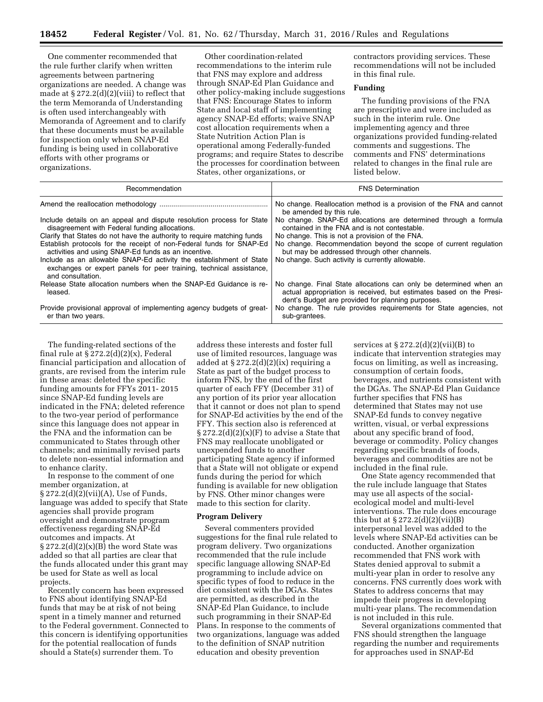One commenter recommended that the rule further clarify when written agreements between partnering organizations are needed. A change was made at  $\S 272.2(d)(2)(viii)$  to reflect that the term Memoranda of Understanding is often used interchangeably with Memoranda of Agreement and to clarify that these documents must be available for inspection only when SNAP-Ed funding is being used in collaborative efforts with other programs or organizations.

Other coordination-related recommendations to the interim rule that FNS may explore and address through SNAP-Ed Plan Guidance and other policy-making include suggestions that FNS: Encourage States to inform State and local staff of implementing agency SNAP-Ed efforts; waive SNAP cost allocation requirements when a State Nutrition Action Plan is operational among Federally-funded programs; and require States to describe the processes for coordination between States, other organizations, or

contractors providing services. These recommendations will not be included in this final rule.

# **Funding**

The funding provisions of the FNA are prescriptive and were included as such in the interim rule. One implementing agency and three organizations provided funding-related comments and suggestions. The comments and FNS' determinations related to changes in the final rule are listed below.

| Recommendation                                                                                                                                                  | <b>FNS Determination</b>                                                                                                                                                                      |
|-----------------------------------------------------------------------------------------------------------------------------------------------------------------|-----------------------------------------------------------------------------------------------------------------------------------------------------------------------------------------------|
|                                                                                                                                                                 | No change. Reallocation method is a provision of the FNA and cannot<br>be amended by this rule.                                                                                               |
| Include details on an appeal and dispute resolution process for State<br>disagreement with Federal funding allocations.                                         | No change. SNAP-Ed allocations are determined through a formula<br>contained in the FNA and is not contestable.                                                                               |
| Clarify that States do not have the authority to require matching funds                                                                                         | No change. This is not a provision of the FNA.                                                                                                                                                |
| Establish protocols for the receipt of non-Federal funds for SNAP-Ed<br>activities and using SNAP-Ed funds as an incentive.                                     | No change. Recommendation beyond the scope of current regulation<br>but may be addressed through other channels.                                                                              |
| Include as an allowable SNAP-Ed activity the establishment of State<br>exchanges or expert panels for peer training, technical assistance,<br>and consultation. | No change. Such activity is currently allowable.                                                                                                                                              |
| Release State allocation numbers when the SNAP-Ed Guidance is re-<br>leased.                                                                                    | No change. Final State allocations can only be determined when an<br>actual appropriation is received, but estimates based on the Presi-<br>dent's Budget are provided for planning purposes. |
| Provide provisional approval of implementing agency budgets of great-<br>er than two years.                                                                     | No change. The rule provides requirements for State agencies, not<br>sub-grantees.                                                                                                            |

The funding-related sections of the final rule at  $\S 272.2(d)(2)(x)$ , Federal financial participation and allocation of grants, are revised from the interim rule in these areas: deleted the specific funding amounts for FFYs 2011- 2015 since SNAP-Ed funding levels are indicated in the FNA; deleted reference to the two-year period of performance since this language does not appear in the FNA and the information can be communicated to States through other channels; and minimally revised parts to delete non-essential information and to enhance clarity.

In response to the comment of one member organization, at § 272.2(d)(2)(vii)(A), Use of Funds, language was added to specify that State agencies shall provide program oversight and demonstrate program effectiveness regarding SNAP-Ed outcomes and impacts. At  $\S 272.2(d)(2)(x)(B)$  the word State was added so that all parties are clear that the funds allocated under this grant may be used for State as well as local projects.

Recently concern has been expressed to FNS about identifying SNAP-Ed funds that may be at risk of not being spent in a timely manner and returned to the Federal government. Connected to this concern is identifying opportunities for the potential reallocation of funds should a State(s) surrender them. To

address these interests and foster full use of limited resources, language was added at  $\S 272.2(d)(2)(ix)$  requiring a State as part of the budget process to inform FNS, by the end of the first quarter of each FFY (December 31) of any portion of its prior year allocation that it cannot or does not plan to spend for SNAP-Ed activities by the end of the FFY. This section also is referenced at  $\S 272.2(d)(2)(x)(F)$  to advise a State that FNS may reallocate unobligated or unexpended funds to another participating State agency if informed that a State will not obligate or expend funds during the period for which funding is available for new obligation by FNS. Other minor changes were made to this section for clarity.

# **Program Delivery**

Several commenters provided suggestions for the final rule related to program delivery. Two organizations recommended that the rule include specific language allowing SNAP-Ed programming to include advice on specific types of food to reduce in the diet consistent with the DGAs. States are permitted, as described in the SNAP-Ed Plan Guidance, to include such programming in their SNAP-Ed Plans. In response to the comments of two organizations, language was added to the definition of SNAP nutrition education and obesity prevention

services at  $\S 272.2(d)(2)(vii)(B)$  to indicate that intervention strategies may focus on limiting, as well as increasing, consumption of certain foods, beverages, and nutrients consistent with the DGAs. The SNAP-Ed Plan Guidance further specifies that FNS has determined that States may not use SNAP-Ed funds to convey negative written, visual, or verbal expressions about any specific brand of food, beverage or commodity. Policy changes regarding specific brands of foods, beverages and commodities are not be included in the final rule.

One State agency recommended that the rule include language that States may use all aspects of the socialecological model and multi-level interventions. The rule does encourage this but at  $\S 272.2(d)(2)(vii)(B)$ interpersonal level was added to the levels where SNAP-Ed activities can be conducted. Another organization recommended that FNS work with States denied approval to submit a multi-year plan in order to resolve any concerns. FNS currently does work with States to address concerns that may impede their progress in developing multi-year plans. The recommendation is not included in this rule.

Several organizations commented that FNS should strengthen the language regarding the number and requirements for approaches used in SNAP-Ed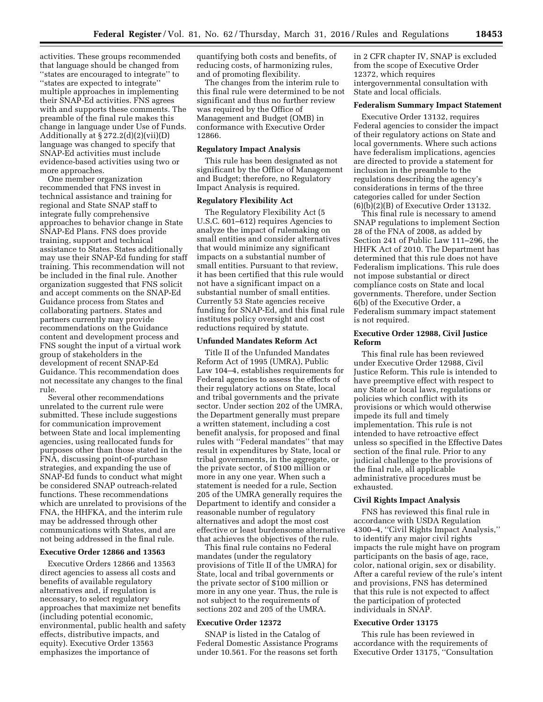activities. These groups recommended that language should be changed from ''states are encouraged to integrate'' to ''states are expected to integrate'' multiple approaches in implementing their SNAP-Ed activities. FNS agrees with and supports these comments. The preamble of the final rule makes this change in language under Use of Funds. Additionally at  $\S 272.2(d)(2)(vii)(D)$ language was changed to specify that SNAP-Ed activities must include evidence-based activities using two or more approaches.

One member organization recommended that FNS invest in technical assistance and training for regional and State SNAP staff to integrate fully comprehensive approaches to behavior change in State SNAP-Ed Plans. FNS does provide training, support and technical assistance to States. States additionally may use their SNAP-Ed funding for staff training. This recommendation will not be included in the final rule. Another organization suggested that FNS solicit and accept comments on the SNAP-Ed Guidance process from States and collaborating partners. States and partners currently may provide recommendations on the Guidance content and development process and FNS sought the input of a virtual work group of stakeholders in the development of recent SNAP-Ed Guidance. This recommendation does not necessitate any changes to the final rule.

Several other recommendations unrelated to the current rule were submitted. These include suggestions for communication improvement between State and local implementing agencies, using reallocated funds for purposes other than those stated in the FNA, discussing point-of-purchase strategies, and expanding the use of SNAP-Ed funds to conduct what might be considered SNAP outreach-related functions. These recommendations which are unrelated to provisions of the FNA, the HHFKA, and the interim rule may be addressed through other communications with States, and are not being addressed in the final rule.

#### **Executive Order 12866 and 13563**

Executive Orders 12866 and 13563 direct agencies to assess all costs and benefits of available regulatory alternatives and, if regulation is necessary, to select regulatory approaches that maximize net benefits (including potential economic, environmental, public health and safety effects, distributive impacts, and equity). Executive Order 13563 emphasizes the importance of

quantifying both costs and benefits, of reducing costs, of harmonizing rules, and of promoting flexibility.

The changes from the interim rule to this final rule were determined to be not significant and thus no further review was required by the Office of Management and Budget (OMB) in conformance with Executive Order 12866.

#### **Regulatory Impact Analysis**

This rule has been designated as not significant by the Office of Management and Budget; therefore, no Regulatory Impact Analysis is required.

## **Regulatory Flexibility Act**

The Regulatory Flexibility Act (5 U.S.C. 601–612) requires Agencies to analyze the impact of rulemaking on small entities and consider alternatives that would minimize any significant impacts on a substantial number of small entities. Pursuant to that review, it has been certified that this rule would not have a significant impact on a substantial number of small entities. Currently 53 State agencies receive funding for SNAP-Ed, and this final rule institutes policy oversight and cost reductions required by statute.

# **Unfunded Mandates Reform Act**

Title II of the Unfunded Mandates Reform Act of 1995 (UMRA), Public Law 104–4, establishes requirements for Federal agencies to assess the effects of their regulatory actions on State, local and tribal governments and the private sector. Under section 202 of the UMRA, the Department generally must prepare a written statement, including a cost benefit analysis, for proposed and final rules with ''Federal mandates'' that may result in expenditures by State, local or tribal governments, in the aggregate, or the private sector, of \$100 million or more in any one year. When such a statement is needed for a rule, Section 205 of the UMRA generally requires the Department to identify and consider a reasonable number of regulatory alternatives and adopt the most cost effective or least burdensome alternative that achieves the objectives of the rule.

This final rule contains no Federal mandates (under the regulatory provisions of Title II of the UMRA) for State, local and tribal governments or the private sector of \$100 million or more in any one year. Thus, the rule is not subject to the requirements of sections 202 and 205 of the UMRA.

# **Executive Order 12372**

SNAP is listed in the Catalog of Federal Domestic Assistance Programs under 10.561. For the reasons set forth in 2 CFR chapter IV, SNAP is excluded from the scope of Executive Order 12372, which requires intergovernmental consultation with State and local officials.

# **Federalism Summary Impact Statement**

Executive Order 13132, requires Federal agencies to consider the impact of their regulatory actions on State and local governments. Where such actions have federalism implications, agencies are directed to provide a statement for inclusion in the preamble to the regulations describing the agency's considerations in terms of the three categories called for under Section (6)(b)(2)(B) of Executive Order 13132.

This final rule is necessary to amend SNAP regulations to implement Section 28 of the FNA of 2008, as added by Section 241 of Public Law 111–296, the HHFK Act of 2010. The Department has determined that this rule does not have Federalism implications. This rule does not impose substantial or direct compliance costs on State and local governments. Therefore, under Section 6(b) of the Executive Order, a Federalism summary impact statement is not required.

## **Executive Order 12988, Civil Justice Reform**

This final rule has been reviewed under Executive Order 12988, Civil Justice Reform. This rule is intended to have preemptive effect with respect to any State or local laws, regulations or policies which conflict with its provisions or which would otherwise impede its full and timely implementation. This rule is not intended to have retroactive effect unless so specified in the Effective Dates section of the final rule. Prior to any judicial challenge to the provisions of the final rule, all applicable administrative procedures must be exhausted.

# **Civil Rights Impact Analysis**

FNS has reviewed this final rule in accordance with USDA Regulation 4300–4, ''Civil Rights Impact Analysis,'' to identify any major civil rights impacts the rule might have on program participants on the basis of age, race, color, national origin, sex or disability. After a careful review of the rule's intent and provisions, FNS has determined that this rule is not expected to affect the participation of protected individuals in SNAP.

# **Executive Order 13175**

This rule has been reviewed in accordance with the requirements of Executive Order 13175, ''Consultation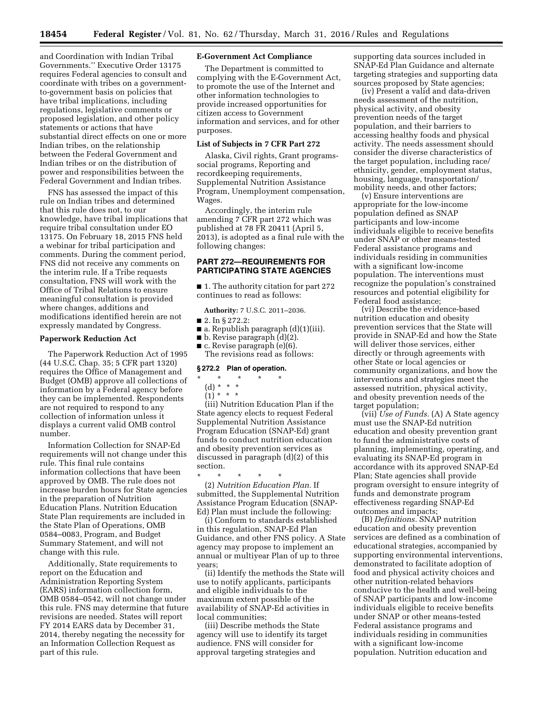and Coordination with Indian Tribal Governments.'' Executive Order 13175 requires Federal agencies to consult and coordinate with tribes on a governmentto-government basis on policies that have tribal implications, including regulations, legislative comments or proposed legislation, and other policy statements or actions that have substantial direct effects on one or more Indian tribes, on the relationship between the Federal Government and Indian tribes or on the distribution of power and responsibilities between the Federal Government and Indian tribes.

FNS has assessed the impact of this rule on Indian tribes and determined that this rule does not, to our knowledge, have tribal implications that require tribal consultation under EO 13175. On February 18, 2015 FNS held a webinar for tribal participation and comments. During the comment period, FNS did not receive any comments on the interim rule. If a Tribe requests consultation, FNS will work with the Office of Tribal Relations to ensure meaningful consultation is provided where changes, additions and modifications identified herein are not expressly mandated by Congress.

# **Paperwork Reduction Act**

The Paperwork Reduction Act of 1995 (44 U.S.C. Chap. 35; 5 CFR part 1320) requires the Office of Management and Budget (OMB) approve all collections of information by a Federal agency before they can be implemented. Respondents are not required to respond to any collection of information unless it displays a current valid OMB control number.

Information Collection for SNAP-Ed requirements will not change under this rule. This final rule contains information collections that have been approved by OMB. The rule does not increase burden hours for State agencies in the preparation of Nutrition Education Plans. Nutrition Education State Plan requirements are included in the State Plan of Operations, OMB 0584–0083, Program, and Budget Summary Statement, and will not change with this rule.

Additionally, State requirements to report on the Education and Administration Reporting System (EARS) information collection form, OMB 0584–0542, will not change under this rule. FNS may determine that future revisions are needed. States will report FY 2014 EARS data by December 31, 2014, thereby negating the necessity for an Information Collection Request as part of this rule.

# **E-Government Act Compliance**

The Department is committed to complying with the E-Government Act, to promote the use of the Internet and other information technologies to provide increased opportunities for citizen access to Government information and services, and for other purposes.

#### **List of Subjects in 7 CFR Part 272**

Alaska, Civil rights, Grant programssocial programs, Reporting and recordkeeping requirements, Supplemental Nutrition Assistance Program, Unemployment compensation, Wages.

Accordingly, the interim rule amending 7 CFR part 272 which was published at 78 FR 20411 (April 5, 2013), is adopted as a final rule with the following changes:

# **PART 272—REQUIREMENTS FOR PARTICIPATING STATE AGENCIES**

■ 1. The authority citation for part 272 continues to read as follows:

**Authority:** 7 U.S.C. 2011–2036.

- 2. In § 272.2:
- a. Republish paragraph (d)(1)(iii).
- $\blacksquare$  b. Revise paragraph  $\ddot{\text{(d)}}(2)$ .
- $\blacksquare$  c. Revise paragraph (e)(6).
- The revisions read as follows:

# **§ 272.2 Plan of operation.**

- \* \* \* \* \*
	- (d) \* \* \* \*  $(1) * * * *$
- (iii) Nutrition Education Plan if the State agency elects to request Federal Supplemental Nutrition Assistance Program Education (SNAP-Ed) grant funds to conduct nutrition education and obesity prevention services as discussed in paragraph (d)(2) of this section.

\* \* \* \* \* (2) *Nutrition Education Plan.* If submitted, the Supplemental Nutrition Assistance Program Education (SNAP-Ed) Plan must include the following:

(i) Conform to standards established in this regulation, SNAP-Ed Plan Guidance, and other FNS policy. A State agency may propose to implement an annual or multiyear Plan of up to three years;

(ii) Identify the methods the State will use to notify applicants, participants and eligible individuals to the maximum extent possible of the availability of SNAP-Ed activities in local communities;

(iii) Describe methods the State agency will use to identify its target audience. FNS will consider for approval targeting strategies and

supporting data sources included in SNAP-Ed Plan Guidance and alternate targeting strategies and supporting data sources proposed by State agencies;

(iv) Present a valid and data-driven needs assessment of the nutrition, physical activity, and obesity prevention needs of the target population, and their barriers to accessing healthy foods and physical activity. The needs assessment should consider the diverse characteristics of the target population, including race/ ethnicity, gender, employment status, housing, language, transportation/ mobility needs, and other factors;

(v) Ensure interventions are appropriate for the low-income population defined as SNAP participants and low-income individuals eligible to receive benefits under SNAP or other means-tested Federal assistance programs and individuals residing in communities with a significant low-income population. The interventions must recognize the population's constrained resources and potential eligibility for Federal food assistance;

(vi) Describe the evidence-based nutrition education and obesity prevention services that the State will provide in SNAP-Ed and how the State will deliver those services, either directly or through agreements with other State or local agencies or community organizations, and how the interventions and strategies meet the assessed nutrition, physical activity, and obesity prevention needs of the target population;

(vii) *Use of Funds.* (A) A State agency must use the SNAP-Ed nutrition education and obesity prevention grant to fund the administrative costs of planning, implementing, operating, and evaluating its SNAP-Ed program in accordance with its approved SNAP-Ed Plan; State agencies shall provide program oversight to ensure integrity of funds and demonstrate program effectiveness regarding SNAP-Ed outcomes and impacts;

(B) *Definitions.* SNAP nutrition education and obesity prevention services are defined as a combination of educational strategies, accompanied by supporting environmental interventions, demonstrated to facilitate adoption of food and physical activity choices and other nutrition-related behaviors conducive to the health and well-being of SNAP participants and low-income individuals eligible to receive benefits under SNAP or other means-tested Federal assistance programs and individuals residing in communities with a significant low-income population. Nutrition education and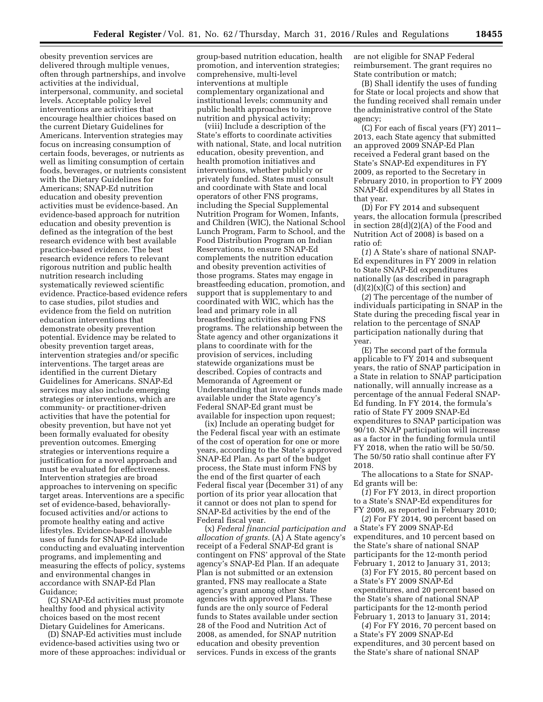obesity prevention services are delivered through multiple venues, often through partnerships, and involve activities at the individual, interpersonal, community, and societal levels. Acceptable policy level interventions are activities that encourage healthier choices based on the current Dietary Guidelines for Americans. Intervention strategies may focus on increasing consumption of certain foods, beverages, or nutrients as well as limiting consumption of certain foods, beverages, or nutrients consistent with the Dietary Guidelines for Americans; SNAP-Ed nutrition education and obesity prevention activities must be evidence-based. An evidence-based approach for nutrition education and obesity prevention is defined as the integration of the best research evidence with best available practice-based evidence. The best research evidence refers to relevant rigorous nutrition and public health nutrition research including systematically reviewed scientific evidence. Practice-based evidence refers to case studies, pilot studies and evidence from the field on nutrition education interventions that demonstrate obesity prevention potential. Evidence may be related to obesity prevention target areas, intervention strategies and/or specific interventions. The target areas are identified in the current Dietary Guidelines for Americans. SNAP-Ed services may also include emerging strategies or interventions, which are community- or practitioner-driven activities that have the potential for obesity prevention, but have not yet been formally evaluated for obesity prevention outcomes. Emerging strategies or interventions require a justification for a novel approach and must be evaluated for effectiveness. Intervention strategies are broad approaches to intervening on specific target areas. Interventions are a specific set of evidence-based, behaviorallyfocused activities and/or actions to promote healthy eating and active lifestyles. Evidence-based allowable uses of funds for SNAP-Ed include conducting and evaluating intervention programs, and implementing and measuring the effects of policy, systems and environmental changes in accordance with SNAP-Ed Plan Guidance;

(C) SNAP-Ed activities must promote healthy food and physical activity choices based on the most recent Dietary Guidelines for Americans.

(D) SNAP-Ed activities must include evidence-based activities using two or more of these approaches: individual or

group-based nutrition education, health promotion, and intervention strategies; comprehensive, multi-level interventions at multiple complementary organizational and institutional levels; community and public health approaches to improve nutrition and physical activity;

(viii) Include a description of the State's efforts to coordinate activities with national, State, and local nutrition education, obesity prevention, and health promotion initiatives and interventions, whether publicly or privately funded. States must consult and coordinate with State and local operators of other FNS programs, including the Special Supplemental Nutrition Program for Women, Infants, and Children (WIC), the National School Lunch Program, Farm to School, and the Food Distribution Program on Indian Reservations, to ensure SNAP-Ed complements the nutrition education and obesity prevention activities of those programs. States may engage in breastfeeding education, promotion, and support that is supplementary to and coordinated with WIC, which has the lead and primary role in all breastfeeding activities among FNS programs. The relationship between the State agency and other organizations it plans to coordinate with for the provision of services, including statewide organizations must be described. Copies of contracts and Memoranda of Agreement or Understanding that involve funds made available under the State agency's Federal SNAP-Ed grant must be available for inspection upon request;

(ix) Include an operating budget for the Federal fiscal year with an estimate of the cost of operation for one or more years, according to the State's approved SNAP-Ed Plan. As part of the budget process, the State must inform FNS by the end of the first quarter of each Federal fiscal year (December 31) of any portion of its prior year allocation that it cannot or does not plan to spend for SNAP-Ed activities by the end of the Federal fiscal year.

(x) *Federal financial participation and allocation of grants.* (A) A State agency's receipt of a Federal SNAP-Ed grant is contingent on FNS' approval of the State agency's SNAP-Ed Plan. If an adequate Plan is not submitted or an extension granted, FNS may reallocate a State agency's grant among other State agencies with approved Plans. These funds are the only source of Federal funds to States available under section 28 of the Food and Nutrition Act of 2008, as amended, for SNAP nutrition education and obesity prevention services. Funds in excess of the grants

are not eligible for SNAP Federal reimbursement. The grant requires no State contribution or match;

(B) Shall identify the uses of funding for State or local projects and show that the funding received shall remain under the administrative control of the State agency;

(C) For each of fiscal years (FY) 2011– 2013, each State agency that submitted an approved 2009 SNAP-Ed Plan received a Federal grant based on the State's SNAP-Ed expenditures in FY 2009, as reported to the Secretary in February 2010, in proportion to FY 2009 SNAP-Ed expenditures by all States in that year.

(D) For FY 2014 and subsequent years, the allocation formula (prescribed in section 28(d)(2)(A) of the Food and Nutrition Act of 2008) is based on a ratio of:

(*1*) A State's share of national SNAP-Ed expenditures in FY 2009 in relation to State SNAP-Ed expenditures nationally (as described in paragraph  $(d)(2)(x)(C)$  of this section) and

(*2*) The percentage of the number of individuals participating in SNAP in the State during the preceding fiscal year in relation to the percentage of SNAP participation nationally during that year.

(E) The second part of the formula applicable to FY 2014 and subsequent years, the ratio of SNAP participation in a State in relation to SNAP participation nationally, will annually increase as a percentage of the annual Federal SNAP-Ed funding. In FY 2014, the formula's ratio of State FY 2009 SNAP-Ed expenditures to SNAP participation was 90/10. SNAP participation will increase as a factor in the funding formula until FY 2018, when the ratio will be 50/50. The 50/50 ratio shall continue after FY 2018.

The allocations to a State for SNAP-Ed grants will be:

(*1*) For FY 2013, in direct proportion to a State's SNAP-Ed expenditures for FY 2009, as reported in February 2010;

(*2*) For FY 2014, 90 percent based on a State's FY 2009 SNAP-Ed expenditures, and 10 percent based on the State's share of national SNAP participants for the 12-month period February 1, 2012 to January 31, 2013;

(3) For FY 2015, 80 percent based on a State's FY 2009 SNAP-Ed expenditures, and 20 percent based on the State's share of national SNAP participants for the 12-month period February 1, 2013 to January 31, 2014;

(*4*) For FY 2016, 70 percent based on a State's FY 2009 SNAP-Ed expenditures, and 30 percent based on the State's share of national SNAP